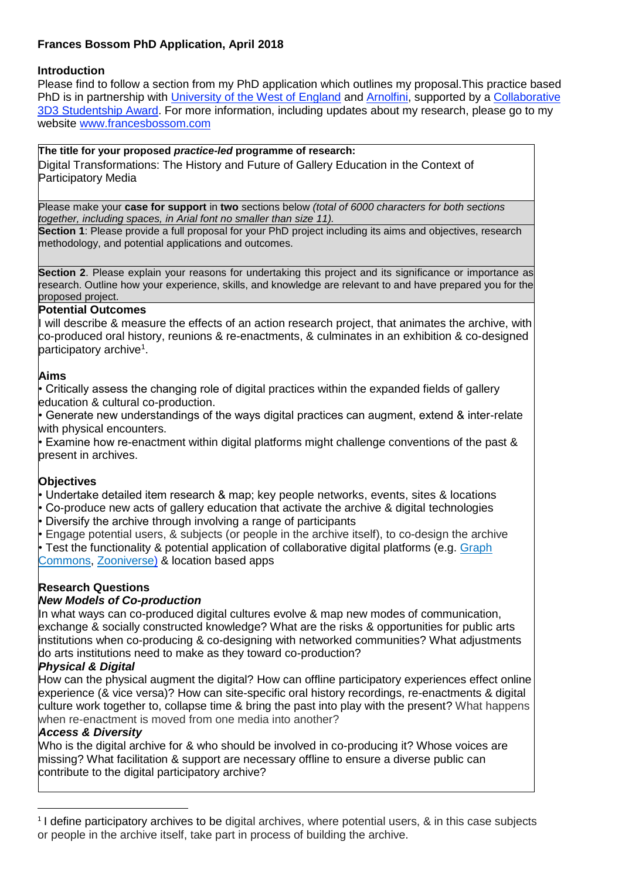# **Frances Bossom PhD Application, April 2018**

#### **Introduction**

Please find to follow a section from my PhD application which outlines my proposal.This practice based PhD is in partnership with [University of the West of England](http://www.uwe.ac.uk/) and [Arnolfini,](https://www.arnolfini.org.uk/) supported by a Collaborative [3D3 Studentship Award.](http://3d3research.co.uk/information/3d3-collaborative-studentship-awards-open/) For more information, including updates about my research, please go to my website [www.francesbossom.com](http://www.francesbossom.com/)

#### **The title for your proposed** *practice-led* **programme of research:**

Digital Transformations: The History and Future of Gallery Education in the Context of Participatory Media

Please make your **case for support** in **two** sections below *(total of 6000 characters for both sections together, including spaces, in Arial font no smaller than size 11).*

**Section 1**: Please provide a full proposal for your PhD project including its aims and objectives, research methodology, and potential applications and outcomes.

**Section 2**. Please explain your reasons for undertaking this project and its significance or importance as research. Outline how your experience, skills, and knowledge are relevant to and have prepared you for the proposed project.

#### **Potential Outcomes**

I will describe & measure the effects of an action research project, that animates the archive, with co-produced oral history, reunions & re-enactments, & culminates in an exhibition & co-designed participatory archive<sup>1</sup>.

#### **Aims**

• Critically assess the changing role of digital practices within the expanded fields of gallery education & cultural co-production.

• Generate new understandings of the ways digital practices can augment, extend & inter-relate with physical encounters.

• Examine how re-enactment within digital platforms might challenge conventions of the past & present in archives.

#### **Objectives**

• Undertake detailed item research & map; key people networks, events, sites & locations

- Co-produce new acts of gallery education that activate the archive & digital technologies
- Diversify the archive through involving a range of participants

• Engage potential users, & subjects (or people in the archive itself), to co-design the archive

• Test the functionality & potential application of collaborative digital platforms (e.g. [Graph](https://graphcommons.com/) [Commons,](https://graphcommons.com/) [Zooniverse\)](https://www.zooniverse.org/) & location based apps

### **Research Questions**

#### *New Models of Co-production*

In what ways can co-produced digital cultures evolve & map new modes of communication, exchange & socially constructed knowledge? What are the risks & opportunities for public arts institutions when co-producing & co-designing with networked communities? What adjustments do arts institutions need to make as they toward co-production?

#### *Physical & Digital*

How can the physical augment the digital? How can offline participatory experiences effect online experience (& vice versa)? How can site-specific oral history recordings, re-enactments & digital culture work together to, collapse time & bring the past into play with the present? What happens when re-enactment is moved from one media into another?

#### *Access & Diversity*

-

Who is the digital archive for & who should be involved in co-producing it? Whose voices are missing? What facilitation & support are necessary offline to ensure a diverse public can contribute to the digital participatory archive?

<sup>&</sup>lt;sup>1</sup> I define participatory archives to be digital archives, where potential users, & in this case subjects or people in the archive itself, take part in process of building the archive.